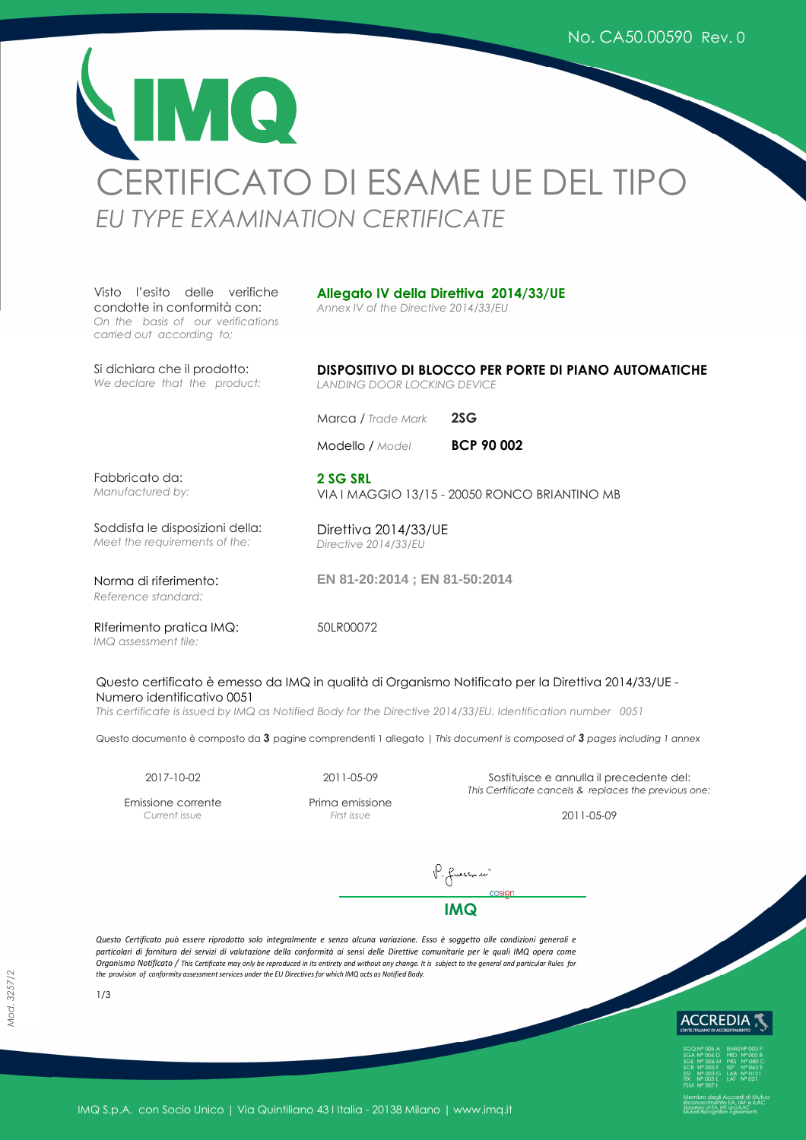MO. CERTIFICATO DI ESAME UE DEL TIPO *EU TYPE EXAMINATION CERTIFICATE* 

Visto l'esito delle verifiche condotte in conformità con: *On the basis of our verifications carried out according to;*

## **Allegato IV della Direttiva 2014/33/UE**

*Annex IV of the Directive 2014/33/EU* 

Si dichiara che il prodotto: *We declare that the product:*

**DISPOSITIVO DI BLOCCO PER PORTE DI PIANO AUTOMATICHE**  *LANDING DOOR LOCKING DEVICE*

VIA I MAGGIO 13/15 - 20050 RONCO BRIANTINO MB

Marca */ Trade Mark* **2SG**

Direttiva 2014/33/UE *Directive 2014/33/EU*

Modello / *Model* **BCP 90 002** 

Fabbricato da: *Manufactured by:*

Soddisfa le disposizioni della:

*Meet the requirements of the:*

Norma di riferimento:

*Reference standard:*

**EN 81-20:2014 ; EN 81-50:2014**

RIferimento pratica IMQ: *IMQ assessment file:*

50LR00072

**2 SG SRL**

## Questo certificato è emesso da IMQ in qualità di Organismo Notificato per la Direttiva 2014/33/UE - Numero identificativo 0051

*This certificate is issued by IMQ as Notified Body for the Directive 2014/33/EU. Identification number 0051*

Questo documento è composto da **3** pagine comprendenti 1 allegato | *This document is composed of 3 pages including 1 annex*

Emissione corrente *Current issue* 

Prima emissione

2017-10-02 2011-05-09 Sostituisce e annulla il precedente del: *This Certificate cancels & replaces the previous one:* 

*First issue* 2011-05-09

P. fuss-se' **IMQ**

*Questo Certificato può essere riprodotto solo integralmente e senza alcuna variazione. Esso è soggetto alle condizioni generali e particolari di fornitura dei servizi di valutazione della conformità ai sensi delle Direttive comunitarie per le quali IMQ opera come Organismo Notificato / This Certificate may only be reproduced in its entirety and without any change. It is subject to the general and particular Rules for the provision of conformity assessment services under the EU Directives for which IMQ acts as Notified Body.* 



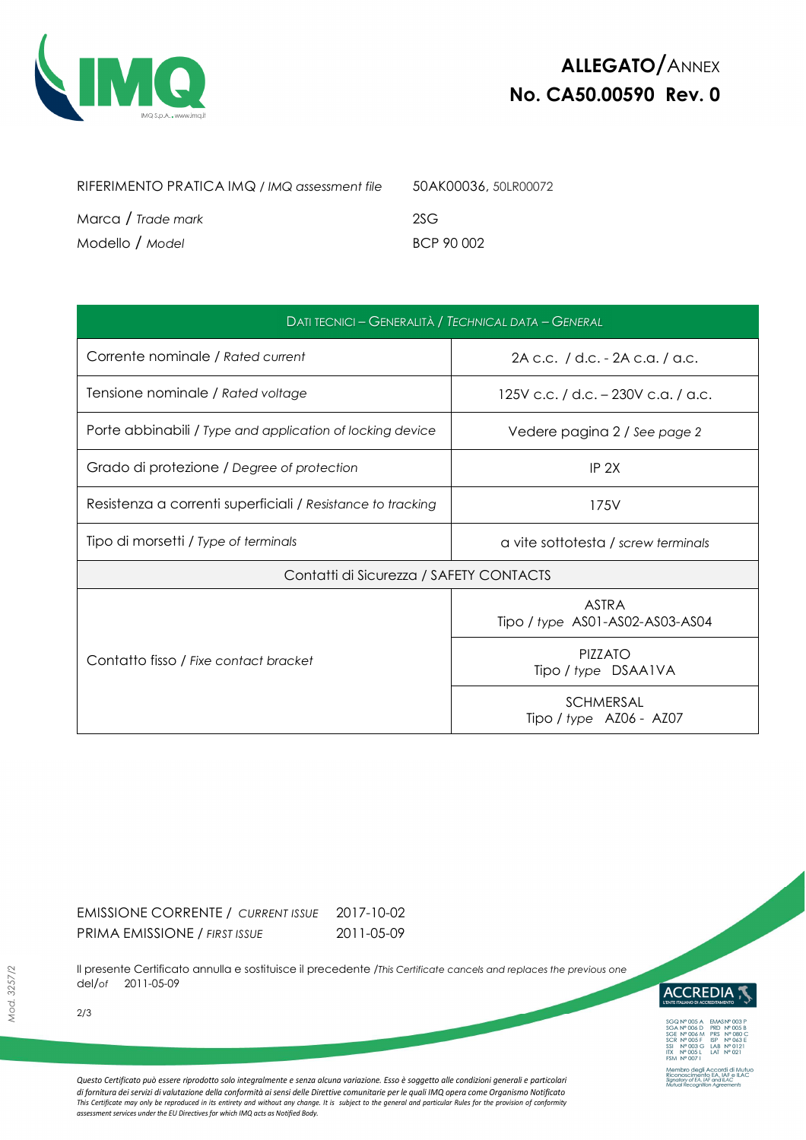

| RIFERIMENTO PRATICA IMQ / IMQ assessment file | 50AK00036, 50LR00072 |
|-----------------------------------------------|----------------------|
| Marca / Trade mark                            | 2SG                  |
| Modello / Model                               | BCP 90 002           |

| DATI TECNICI - GENERALITÀ / TECHNICAL DATA - GENERAL        |                                                 |  |  |  |
|-------------------------------------------------------------|-------------------------------------------------|--|--|--|
| Corrente nominale / Rated current                           | 2A c.c. / d.c. - 2A c.a. / a.c.                 |  |  |  |
| Tensione nominale / Rated voltage                           | 125V c.c. / d.c. – 230V c.a. / a.c.             |  |  |  |
| Porte abbinabili / Type and application of locking device   | Vedere pagina 2 / See page 2                    |  |  |  |
| Grado di protezione / Degree of protection                  | IP 2X                                           |  |  |  |
| Resistenza a correnti superficiali / Resistance to tracking | 175V                                            |  |  |  |
| Tipo di morsetti / Type of terminals                        | a vite sottotesta / screw terminals             |  |  |  |
| Contatti di Sicurezza / SAFETY CONTACTS                     |                                                 |  |  |  |
|                                                             | <b>ASTRA</b><br>Tipo / type AS01-AS02-AS03-AS04 |  |  |  |
| Contatto fisso / Fixe contact bracket                       | <b>PIZZATO</b><br>Tipo / type DSAA1VA           |  |  |  |
|                                                             | <b>SCHMERSAL</b><br>Tipo / type AZ06 - AZ07     |  |  |  |

EMISSIONE CORRENTE / *CURRENT ISSUE* 2017-10-02 PRIMA EMISSIONE / *FIRST ISSUE* 2011-05-09

Il presente Certificato annulla e sostituisce il precedente /*This Certificate cancels and replaces the previous one* del*/of* 2011-05-09



*Questo Certificato può essere riprodotto solo integralmente e senza alcuna variazione. Esso è soggetto alle condizioni generali e particolari*  di fornitura dei servizi di valutazione della conformità ai sensi delle Direttive comunitarie per le quali IMQ opera come Organismo Notificato<br>This Certificate may only be reproduced in its entirety and without any change. *assessment services under the EU Directives for which IMQ acts as Notified Body.* 

2/3